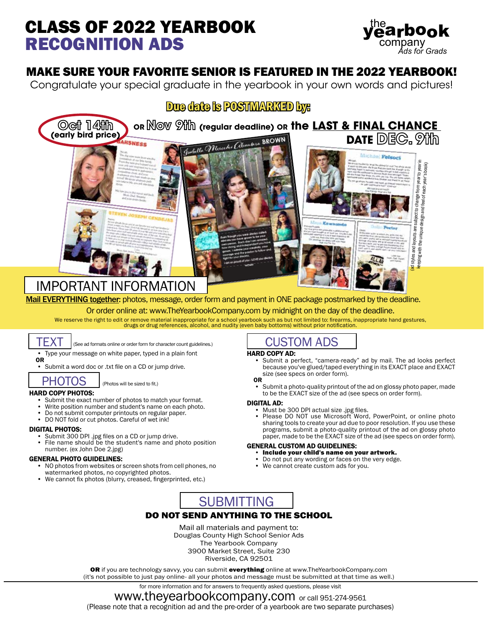# CLASS OF 2022 YEARBOOK RECOGNITION ADS



# MAKE SURE YOUR FAVORITE SENIOR IS FEATURED IN THE 2022 YEARBOOK!

Congratulate your special graduate in the yearbook in your own words and pictures!



IMPORTANT INFORMATION

Mail EVERYTHING together: photos, message, order form and payment in ONE package postmarked by the deadline. Or order online at: www.TheYearbookCompany.com by midnight on the day of the deadline.

We reserve the right to edit or remove material inappropriate for a school yearbook such as but not limited to: firearms, inappropriate hand gestures,<br>drugs or drug references, alcohol, and nudity (even baby bottoms) witho



## (See ad formats online or order form for character count guidelines.)

• Type your message on white paper, typed in a plain font

OR • Submit a word doc or .txt file on a CD or jump drive.

## PHOTOS

(Photos will be sized to fit.)

- HARD COPY PHOTOS:<br>• Submit the exact number of photos to match your format.
	- Write position number and student's name on each photo.
	- Do not submit computer printouts on regular paper.
	- DO NOT fold or cut photos. Careful of wet ink!

- **DIGITAL PHOTOS:**<br>• Submit 300 DPI .jpg files on a CD or jump drive.<br>• File name should be the student's name and photo position
	- number. (ex John Doe 2.jpg)

- GENERAL PHOTO GUIDELINES:<br>• NO photos from websites or screen shots from cell phones, no watermarked photos, no copyrighted photos.
	- We cannot fix photos (blurry, creased, fingerprinted, etc.)

# CUSTOM ADS

- HARD COPY AD: Submit a perfect, "camera-ready" ad by mail. The ad looks perfect because you've glued/taped everything in its EXACT place and EXACT size (see specs on order form). OR
	- Submit a photo-quality printout of the ad on glossy photo paper, made to be the EXACT size of the ad (see specs on order form).

**DIGITAL AD:**<br>• Must be 300 DPI actual size .jpg files.<br>• Please DO NOT use Microsoft Word, PowerPoint, or online photo sharing tools to create your ad due to poor resolution. If you use these programs, submit a photo-quality printout of the ad on glossy photo paper, made to be the EXACT size of the ad (see specs on order form).

## GENERAL CUSTOM AD GUIDELINES:<br>• Include your child's name on your artwork.

- 
- Do not put any wording or faces on the very edge.
- We cannot create custom ads for you.



## DO NOT SEND ANYTHING TO THE SCHOOL

Mail all materials and payment to: Douglas County High School Senior Ads The Yearbook Company 3900 Market Street, Suite 230 Riverside, CA 92501

OR if you are technology savvy, you can submit everything online at www.TheYearbookCompany.com (it's not possible to just pay online- all your photos and message must be submitted at that time as well.)

for more information and for answers to frequently asked questions, please visit

### www.theyearbookcompany.com or call 951-274-9561

(Please note that a recognition ad and the pre-order of a yearbook are two separate purchases)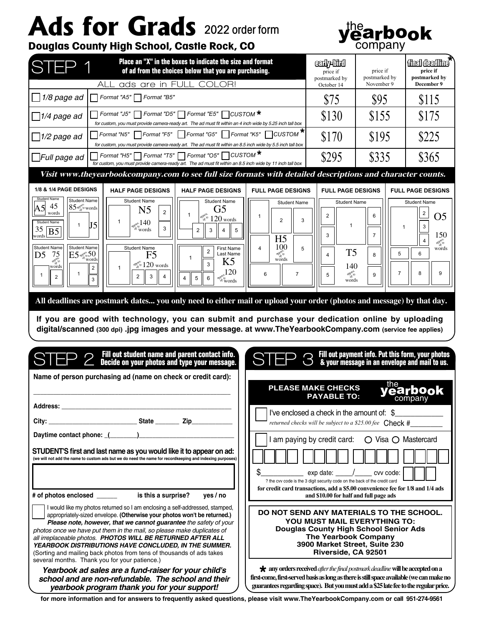# Ads for Grads 2022 order form



# **Douglas County High School, Castle Rock, CO**

| Place an "X" in the boxes to indicate the size and format<br>STEP 1<br>of ad from the choices below that you are purchasing.                                                                                                                                                                                                                                                                                                                                                                                                                                                                                                                                                                                                                                                |                                                                                                                                                                                                                                                                                  | <b>CEON ALLOYED</b><br>price if<br>price if<br>postmarked by<br>postmarked by                                    |                                                                                                                      | finalidealline<br>price if<br>postmarked by                                                                                                |
|-----------------------------------------------------------------------------------------------------------------------------------------------------------------------------------------------------------------------------------------------------------------------------------------------------------------------------------------------------------------------------------------------------------------------------------------------------------------------------------------------------------------------------------------------------------------------------------------------------------------------------------------------------------------------------------------------------------------------------------------------------------------------------|----------------------------------------------------------------------------------------------------------------------------------------------------------------------------------------------------------------------------------------------------------------------------------|------------------------------------------------------------------------------------------------------------------|----------------------------------------------------------------------------------------------------------------------|--------------------------------------------------------------------------------------------------------------------------------------------|
| ads are in FULL COLOR!<br>AI I                                                                                                                                                                                                                                                                                                                                                                                                                                                                                                                                                                                                                                                                                                                                              |                                                                                                                                                                                                                                                                                  | October 14                                                                                                       | November 9                                                                                                           | December 9                                                                                                                                 |
| 1/8 page ad<br>Format "A5"   Format "B5"                                                                                                                                                                                                                                                                                                                                                                                                                                                                                                                                                                                                                                                                                                                                    |                                                                                                                                                                                                                                                                                  | \$75                                                                                                             | \$95                                                                                                                 | \$115                                                                                                                                      |
| Format "J5" Format "D5" Format "E5" CUSTOM <sup>★</sup><br>$\Box$ 1/4 page ad<br>for custom, you must provide camera-ready art. The ad must fit within an 4 inch wide by 5.25 inch tall box                                                                                                                                                                                                                                                                                                                                                                                                                                                                                                                                                                                 |                                                                                                                                                                                                                                                                                  | \$130                                                                                                            | \$155                                                                                                                | \$175                                                                                                                                      |
| Format "N5"     Format "F5"<br>    Format "G5"     Format "K5"<br>$\Box$ 1/2 page ad<br>for custom, you must provide camera-ready art. The ad must fit within an 8.5 inch wide by 5.5 inch tall box                                                                                                                                                                                                                                                                                                                                                                                                                                                                                                                                                                         | $\frac{1}{2}$ CUSTOM $^{\bigstar}$                                                                                                                                                                                                                                               | \$170                                                                                                            | \$195                                                                                                                | \$225                                                                                                                                      |
| Format "H5"   Format "T5"   Format "O5"   CUSTOM <sup>*</sup><br>$\Box$ Full page ad<br>for custom, you must provide camera-ready art. The ad must fit within an 8.5 inch wide by 11 inch tall box                                                                                                                                                                                                                                                                                                                                                                                                                                                                                                                                                                          |                                                                                                                                                                                                                                                                                  | \$295                                                                                                            | \$335                                                                                                                | \$365                                                                                                                                      |
| Visit www.theyearbookcompany.com to see full size formats with detailed descriptions and character counts.                                                                                                                                                                                                                                                                                                                                                                                                                                                                                                                                                                                                                                                                  |                                                                                                                                                                                                                                                                                  |                                                                                                                  |                                                                                                                      |                                                                                                                                            |
| 1/8 & 1/4 PAGE DESIGNS<br><b>HALF PAGE DESIGNS</b><br><b>HALF PAGE DESIGNS</b>                                                                                                                                                                                                                                                                                                                                                                                                                                                                                                                                                                                                                                                                                              | <b>FULL PAGE DESIGNS</b>                                                                                                                                                                                                                                                         | <b>FULL PAGE DESIGNS</b>                                                                                         |                                                                                                                      | <b>FULL PAGE DESIGNS</b>                                                                                                                   |
| <b>Student Name</b><br><b>Student Name</b><br><b>Student Name</b><br><b>Student Name</b><br>45<br>$85$ and $\omega$ words<br>$\bm{\mathsf{A5}}$<br>N <sub>5</sub><br>G5<br>$\overline{2}$<br>words<br>$\mathbf 1$<br>$\frac{1}{20}$ and $\frac{1}{20}$ words<br>1<br><b>Student Name</b><br>opper 140<br>words<br>J5<br>1<br>3<br>35<br>5<br>2<br>3<br>4<br>B <sub>5</sub><br>words<br><b>Student Name</b><br><b>Student Name</b><br><b>Student Name</b><br><b>First Name</b><br>$\overline{c}$<br>$ES$ orges 50<br>Last Name<br>75<br>F5<br>D5<br>words<br>appage<br>K5<br>3<br>$\frac{120 \text{ words}}{20}$ words<br>words<br>$\overline{2}$<br>1<br>120<br>$\mathbf{1}$<br>$\overline{2}$<br>3<br>4<br>2<br>$\overline{\mathbf{4}}$<br>5<br>6<br>$\mathbf{3}$<br>words | <b>Student Name</b><br>1<br>$\overline{2}$<br>3<br>H <sub>5</sub><br>100<br>5<br>4<br>$\frac{\partial \phi_{\mu\nu}^{\text{max}}}{\partial \phi_{\mu\nu}^{\text{max}}}$<br>$\overline{7}$<br>6                                                                                   | <b>Student Name</b><br>$\overline{2}$<br>$\mathbf{1}$<br>3<br>T <sub>5</sub><br>4<br>140<br>appage<br>5<br>words | 6<br>$\overline{1}$<br>$\overline{7}$<br>5<br>8<br>$\overline{7}$<br>9                                               | <b>Student Name</b><br>$\overline{\mathbf{c}}$<br>O <sub>5</sub><br>$\mathsf 3$<br>150<br>$\overline{4}$<br>approx<br>words<br>6<br>8<br>9 |
| If you are good with technology, you can submit and purchase your dedication online by uploading<br>digital/scanned (300 dpi) .jpg images and your message. at www.TheYearbookCompany.com (service fee applies)<br>Fill out student name and parent contact info.<br>Decide on your photos and type your message.<br>Name of person purchasing ad (name on check or credit card):                                                                                                                                                                                                                                                                                                                                                                                           |                                                                                                                                                                                                                                                                                  |                                                                                                                  | Fill out payment info. Put this form, your photos<br>& your message in an envelope and mail to us.                   |                                                                                                                                            |
| <b>Address:</b>                                                                                                                                                                                                                                                                                                                                                                                                                                                                                                                                                                                                                                                                                                                                                             |                                                                                                                                                                                                                                                                                  | <b>PLEASE MAKE CHECKS</b><br><b>PAYABLE TO:</b><br>I've enclosed a check in the amount of: $\$$                  |                                                                                                                      | company                                                                                                                                    |
|                                                                                                                                                                                                                                                                                                                                                                                                                                                                                                                                                                                                                                                                                                                                                                             |                                                                                                                                                                                                                                                                                  |                                                                                                                  | returned checks will be subject to a \$25.00 fee $Check #$                                                           |                                                                                                                                            |
|                                                                                                                                                                                                                                                                                                                                                                                                                                                                                                                                                                                                                                                                                                                                                                             |                                                                                                                                                                                                                                                                                  | I am paying by credit card:                                                                                      | ○ Visa ○ Mastercard                                                                                                  |                                                                                                                                            |
| STUDENT'S first and last name as you would like it to appear on ad:<br>(we will not add the name to custom ads but we do need the name for recordkeeping and indexing purposes)<br>is this a surprise?<br># of photos enclosed _______<br>yes / no                                                                                                                                                                                                                                                                                                                                                                                                                                                                                                                          | \$<br>? the cvv code is the 3 digit security code on the back of the credit card<br>for credit card transactions, add a \$5.00 convenience fee for 1/8 and 1/4 ads                                                                                                               | $\exp$ date: $\sqrt{ }$<br>and \$10.00 for half and full page ads                                                | cvv code:                                                                                                            |                                                                                                                                            |
| I would like my photos returned so I am enclosing a self-addressed, stamped,<br>appropriately-sized envelope. (Otherwise your photos won't be returned.)<br>Please note, however, that we cannot guarantee the safety of your<br>photos once we have put them in the mail, so please make duplicates of<br>all irreplaceable photos. PHOTOS WILL BE RETURNED AFTER ALL<br>YEARBOOK DISTRIBUTIONS HAVE CONCLUDED, IN THE SUMMER.<br>(Sorting and mailing back photos from tens of thousands of ads takes<br>several months. Thank you for your patience.)                                                                                                                                                                                                                    | DO NOT SEND ANY MATERIALS TO THE SCHOOL.                                                                                                                                                                                                                                         | <b>The Yearbook Company</b><br>Riverside, CA 92501                                                               | <b>YOU MUST MAIL EVERYTHING TO:</b><br><b>Douglas County High School Senior Ads</b><br>3900 Market Street, Suite 230 |                                                                                                                                            |
| Yearbook ad sales are a fund-raiser for your child's<br>school and are non-refundable. The school and their<br>yearbook program thank you for your support!                                                                                                                                                                                                                                                                                                                                                                                                                                                                                                                                                                                                                 | $\bigstar$ any orders received <i>after the final postmark deadline</i> will be accepted on a<br>first-come, first-served basis as long as there is still space available (we can make no<br>guarantees regarding space). But you must add a \$25 late fee to the regular price. |                                                                                                                  |                                                                                                                      |                                                                                                                                            |

**for more information and for answers to frequently asked questions, please visit www.TheYearbookCompany.com or call 951-274-9561**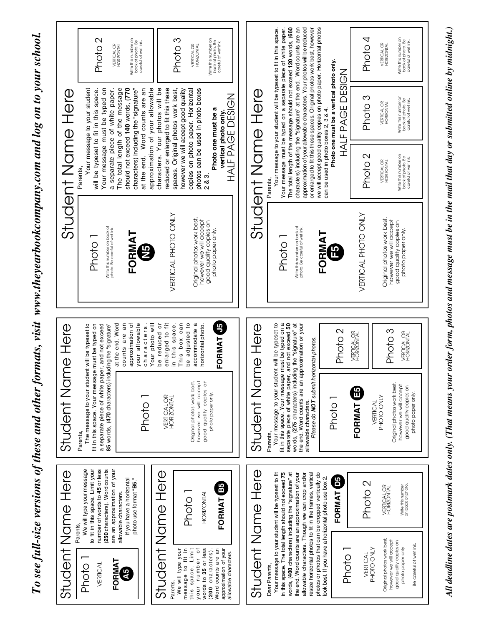To see full-size versions of these and other formats, visit www.theyearbookcompany.com and log on to your school. *To see full-size versions of these and other formats, visit www.theyearbookcompany.com and log on to your school.*



*All deadline dates are postmark dates only. (That means your order form, photos and message must be in the mail that day or submitted online by midnight.)*

All deadline dates are postmark dates only. (That means your order form, photos and message must be in the mail that day or submitted online by midnight.)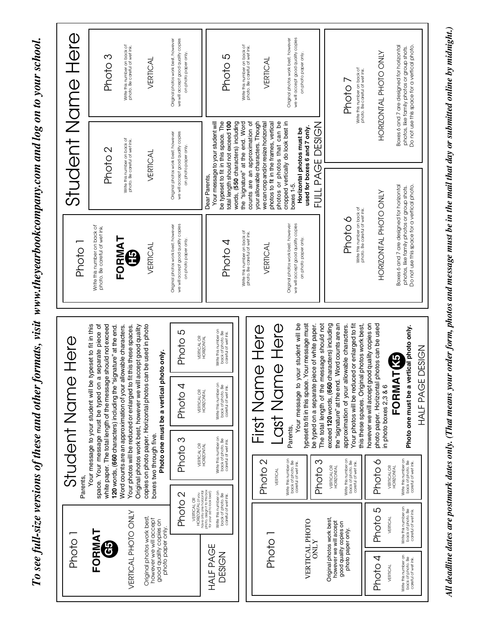To see full-size versions of these and other formats, visit www.theyearbookcompany.com and log on to your school. *To see full-size versions of these and other formats, visit www.theyearbookcompany.com and log on to your school.*



All deadline dates are postmark dates only. (That means your order form, photos and message must be in the mail that day or submitted online by midnight.) *All deadline dates are postmark dates only. (That means your order form, photos and message must be in the mail that day or submitted online by midnight.)*